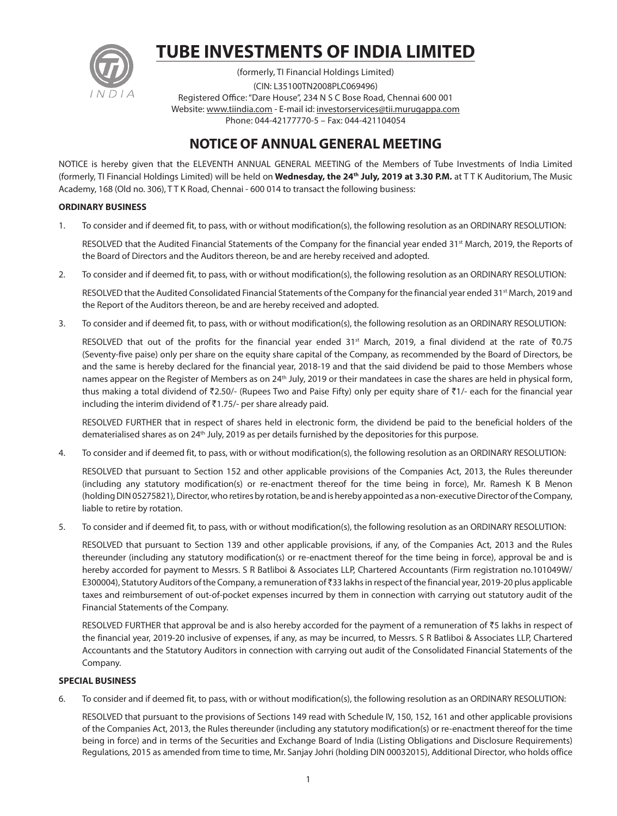

# **TUBE INVESTMENTS OF INDIA LIMITED**

(formerly, TI Financial Holdings Limited) (CIN: L35100TN2008PLC069496) Registered Office: "Dare House", 234 N S C Bose Road, Chennai 600 001 Website: www.tiindia.com - E-mail id: investorservices@tii.murugappa.com Phone: 044-42177770-5 – Fax: 044-421104054

### **NOTICE OF ANNUAL GENERAL MEETING**

NOTICE is hereby given that the ELEVENTH ANNUAL GENERAL MEETING of the Members of Tube Investments of India Limited (formerly, TI Financial Holdings Limited) will be held on **Wednesday, the 24th July, 2019 at 3.30 P.M.** at T T K Auditorium, The Music Academy, 168 (Old no. 306), T T K Road, Chennai - 600 014 to transact the following business:

#### **ORDINARY BUSINESS**

1. To consider and if deemed fit, to pass, with or without modification(s), the following resolution as an ORDINARY RESOLUTION:

RESOLVED that the Audited Financial Statements of the Company for the financial year ended 31<sup>st</sup> March, 2019, the Reports of the Board of Directors and the Auditors thereon, be and are hereby received and adopted.

2. To consider and if deemed fit, to pass, with or without modification(s), the following resolution as an ORDINARY RESOLUTION:

RESOLVED that the Audited Consolidated Financial Statements of the Company for the financial year ended 31<sup>st</sup> March, 2019 and the Report of the Auditors thereon, be and are hereby received and adopted.

3. To consider and if deemed fit, to pass, with or without modification(s), the following resolution as an ORDINARY RESOLUTION:

RESOLVED that out of the profits for the financial year ended 31<sup>st</sup> March, 2019, a final dividend at the rate of  $\bar{v}0.75$ (Seventy-five paise) only per share on the equity share capital of the Company, as recommended by the Board of Directors, be and the same is hereby declared for the financial year, 2018-19 and that the said dividend be paid to those Members whose names appear on the Register of Members as on 24<sup>th</sup> July, 2019 or their mandatees in case the shares are held in physical form, thus making a total dividend of  $\bar{\zeta}$ 2.50/- (Rupees Two and Paise Fifty) only per equity share of  $\bar{\zeta}$ 1/- each for the financial year including the interim dividend of  $\overline{3}1.75/-$  per share already paid.

 RESOLVED FURTHER that in respect of shares held in electronic form, the dividend be paid to the beneficial holders of the dematerialised shares as on 24<sup>th</sup> July, 2019 as per details furnished by the depositories for this purpose.

4. To consider and if deemed fit, to pass, with or without modification(s), the following resolution as an ORDINARY RESOLUTION:

 RESOLVED that pursuant to Section 152 and other applicable provisions of the Companies Act, 2013, the Rules thereunder (including any statutory modification(s) or re-enactment thereof for the time being in force), Mr. Ramesh K B Menon (holding DIN 05275821), Director, who retires by rotation, be and is hereby appointed as a non-executive Director of the Company, liable to retire by rotation.

5. To consider and if deemed fit, to pass, with or without modification(s), the following resolution as an ORDINARY RESOLUTION:

 RESOLVED that pursuant to Section 139 and other applicable provisions, if any, of the Companies Act, 2013 and the Rules thereunder (including any statutory modification(s) or re-enactment thereof for the time being in force), approval be and is hereby accorded for payment to Messrs. S R Batliboi & Associates LLP, Chartered Accountants (Firm registration no.101049W/ E300004), Statutory Auditors of the Company, a remuneration of  $\bar{\tau}$ 33 lakhs in respect of the financial year, 2019-20 plus applicable taxes and reimbursement of out-of-pocket expenses incurred by them in connection with carrying out statutory audit of the Financial Statements of the Company.

RESOLVED FURTHER that approval be and is also hereby accorded for the payment of a remuneration of  $\overline{z}5$  lakhs in respect of the financial year, 2019-20 inclusive of expenses, if any, as may be incurred, to Messrs. S R Batliboi & Associates LLP, Chartered Accountants and the Statutory Auditors in connection with carrying out audit of the Consolidated Financial Statements of the Company.

#### **SPECIAL BUSINESS**

6. To consider and if deemed fit, to pass, with or without modification(s), the following resolution as an ORDINARY RESOLUTION:

 RESOLVED that pursuant to the provisions of Sections 149 read with Schedule IV, 150, 152, 161 and other applicable provisions of the Companies Act, 2013, the Rules thereunder (including any statutory modification(s) or re-enactment thereof for the time being in force) and in terms of the Securities and Exchange Board of India (Listing Obligations and Disclosure Requirements) Regulations, 2015 as amended from time to time, Mr. Sanjay Johri (holding DIN 00032015), Additional Director, who holds office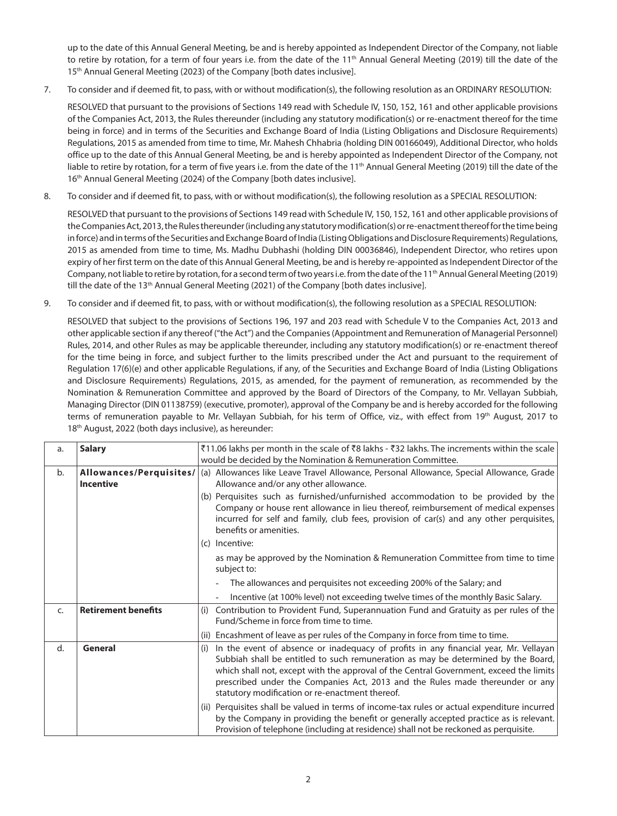up to the date of this Annual General Meeting, be and is hereby appointed as Independent Director of the Company, not liable to retire by rotation, for a term of four years i.e. from the date of the 11<sup>th</sup> Annual General Meeting (2019) till the date of the 15<sup>th</sup> Annual General Meeting (2023) of the Company [both dates inclusive].

7. To consider and if deemed fit, to pass, with or without modification(s), the following resolution as an ORDINARY RESOLUTION:

 RESOLVED that pursuant to the provisions of Sections 149 read with Schedule IV, 150, 152, 161 and other applicable provisions of the Companies Act, 2013, the Rules thereunder (including any statutory modification(s) or re-enactment thereof for the time being in force) and in terms of the Securities and Exchange Board of India (Listing Obligations and Disclosure Requirements) Regulations, 2015 as amended from time to time, Mr. Mahesh Chhabria (holding DIN 00166049), Additional Director, who holds office up to the date of this Annual General Meeting, be and is hereby appointed as Independent Director of the Company, not liable to retire by rotation, for a term of five years i.e. from the date of the 11<sup>th</sup> Annual General Meeting (2019) till the date of the 16<sup>th</sup> Annual General Meeting (2024) of the Company [both dates inclusive].

8. To consider and if deemed fit, to pass, with or without modification(s), the following resolution as a SPECIAL RESOLUTION:

 RESOLVED that pursuant to the provisions of Sections 149 read with Schedule IV, 150, 152, 161 and other applicable provisions of the Companies Act, 2013, the Rules thereunder (including any statutory modification(s) or re-enactment thereof for the time being in force) and in terms of the Securities and Exchange Board of India (Listing Obligations and Disclosure Requirements) Regulations, 2015 as amended from time to time, Ms. Madhu Dubhashi (holding DIN 00036846), Independent Director, who retires upon expiry of her first term on the date of this Annual General Meeting, be and is hereby re-appointed as Independent Director of the Company, not liable to retire by rotation, for a second term of two years i.e. from the date of the 11<sup>th</sup> Annual General Meeting (2019) till the date of the 13<sup>th</sup> Annual General Meeting (2021) of the Company [both dates inclusive].

9. To consider and if deemed fit, to pass, with or without modification(s), the following resolution as a SPECIAL RESOLUTION:

 RESOLVED that subject to the provisions of Sections 196, 197 and 203 read with Schedule V to the Companies Act, 2013 and other applicable section if any thereof ("the Act") and the Companies (Appointment and Remuneration of Managerial Personnel) Rules, 2014, and other Rules as may be applicable thereunder, including any statutory modification(s) or re-enactment thereof for the time being in force, and subject further to the limits prescribed under the Act and pursuant to the requirement of Regulation 17(6)(e) and other applicable Regulations, if any, of the Securities and Exchange Board of India (Listing Obligations and Disclosure Requirements) Regulations, 2015, as amended, for the payment of remuneration, as recommended by the Nomination & Remuneration Committee and approved by the Board of Directors of the Company, to Mr. Vellayan Subbiah, Managing Director (DIN 01138759) (executive, promoter), approval of the Company be and is hereby accorded for the following terms of remuneration payable to Mr. Vellayan Subbiah, for his term of Office, viz., with effect from 19th August, 2017 to 18th August, 2022 (both days inclusive), as hereunder:

| a. | <b>Salary</b>                               | ₹11.06 lakhs per month in the scale of ₹8 lakhs - ₹32 lakhs. The increments within the scale<br>would be decided by the Nomination & Remuneration Committee.                                                                                                                                                                                                                                                   |  |
|----|---------------------------------------------|----------------------------------------------------------------------------------------------------------------------------------------------------------------------------------------------------------------------------------------------------------------------------------------------------------------------------------------------------------------------------------------------------------------|--|
| b. | Allowances/Perquisites/<br><b>Incentive</b> | (a) Allowances like Leave Travel Allowance, Personal Allowance, Special Allowance, Grade<br>Allowance and/or any other allowance.                                                                                                                                                                                                                                                                              |  |
|    |                                             | (b) Perquisites such as furnished/unfurnished accommodation to be provided by the<br>Company or house rent allowance in lieu thereof, reimbursement of medical expenses<br>incurred for self and family, club fees, provision of car(s) and any other perquisites,<br>benefits or amenities.<br>(c) Incentive:                                                                                                 |  |
|    |                                             | as may be approved by the Nomination & Remuneration Committee from time to time<br>subject to:                                                                                                                                                                                                                                                                                                                 |  |
|    |                                             | The allowances and perquisites not exceeding 200% of the Salary; and                                                                                                                                                                                                                                                                                                                                           |  |
|    |                                             | Incentive (at 100% level) not exceeding twelve times of the monthly Basic Salary.                                                                                                                                                                                                                                                                                                                              |  |
| C. | <b>Retirement benefits</b>                  | Contribution to Provident Fund, Superannuation Fund and Gratuity as per rules of the<br>(i)<br>Fund/Scheme in force from time to time.                                                                                                                                                                                                                                                                         |  |
|    |                                             | Encashment of leave as per rules of the Company in force from time to time.<br>(ii)                                                                                                                                                                                                                                                                                                                            |  |
| d. | <b>General</b>                              | In the event of absence or inadequacy of profits in any financial year, Mr. Vellayan<br>(i)<br>Subbiah shall be entitled to such remuneration as may be determined by the Board,<br>which shall not, except with the approval of the Central Government, exceed the limits<br>prescribed under the Companies Act, 2013 and the Rules made thereunder or any<br>statutory modification or re-enactment thereof. |  |
|    |                                             | (ii) Perquisites shall be valued in terms of income-tax rules or actual expenditure incurred<br>by the Company in providing the benefit or generally accepted practice as is relevant.<br>Provision of telephone (including at residence) shall not be reckoned as perquisite.                                                                                                                                 |  |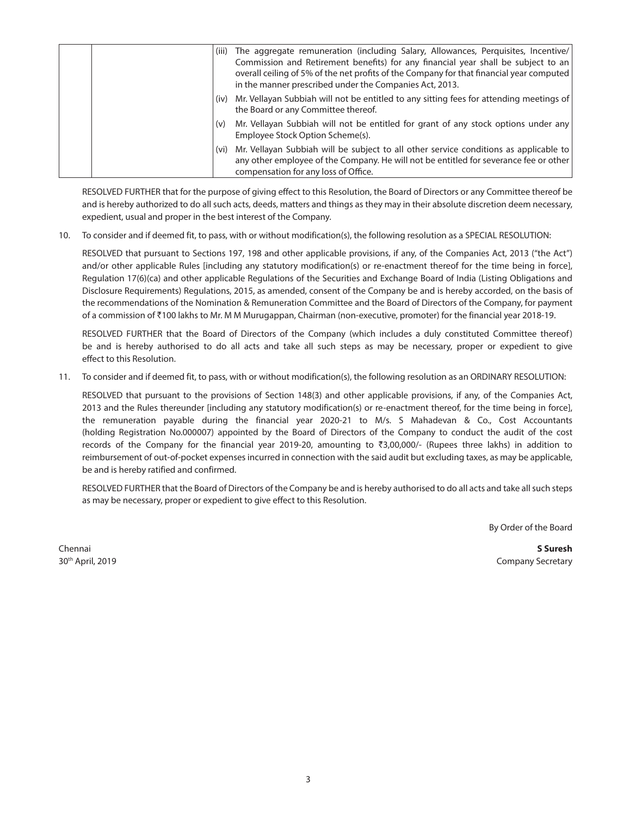| (iii) | The aggregate remuneration (including Salary, Allowances, Perquisites, Incentive/<br>Commission and Retirement benefits) for any financial year shall be subject to an<br>overall ceiling of 5% of the net profits of the Company for that financial year computed<br>in the manner prescribed under the Companies Act, 2013. |
|-------|-------------------------------------------------------------------------------------------------------------------------------------------------------------------------------------------------------------------------------------------------------------------------------------------------------------------------------|
|       | (iv) Mr. Vellayan Subbiah will not be entitled to any sitting fees for attending meetings of<br>the Board or any Committee thereof.                                                                                                                                                                                           |
| (v)   | Mr. Vellayan Subbiah will not be entitled for grant of any stock options under any<br>Employee Stock Option Scheme(s).                                                                                                                                                                                                        |
|       | (vi) Mr. Vellayan Subbiah will be subject to all other service conditions as applicable to<br>any other employee of the Company. He will not be entitled for severance fee or other<br>compensation for any loss of Office.                                                                                                   |

 RESOLVED FURTHER that for the purpose of giving effect to this Resolution, the Board of Directors or any Committee thereof be and is hereby authorized to do all such acts, deeds, matters and things as they may in their absolute discretion deem necessary, expedient, usual and proper in the best interest of the Company.

10. To consider and if deemed fit, to pass, with or without modification(s), the following resolution as a SPECIAL RESOLUTION:

 RESOLVED that pursuant to Sections 197, 198 and other applicable provisions, if any, of the Companies Act, 2013 ("the Act") and/or other applicable Rules [including any statutory modification(s) or re-enactment thereof for the time being in force], Regulation 17(6)(ca) and other applicable Regulations of the Securities and Exchange Board of India (Listing Obligations and Disclosure Requirements) Regulations, 2015, as amended, consent of the Company be and is hereby accorded, on the basis of the recommendations of the Nomination & Remuneration Committee and the Board of Directors of the Company, for payment of a commission of `100 lakhs to Mr. M M Murugappan, Chairman (non-executive, promoter) for the financial year 2018-19.

 RESOLVED FURTHER that the Board of Directors of the Company (which includes a duly constituted Committee thereof) be and is hereby authorised to do all acts and take all such steps as may be necessary, proper or expedient to give effect to this Resolution.

11. To consider and if deemed fit, to pass, with or without modification(s), the following resolution as an ORDINARY RESOLUTION:

 RESOLVED that pursuant to the provisions of Section 148(3) and other applicable provisions, if any, of the Companies Act, 2013 and the Rules thereunder [including any statutory modification(s) or re-enactment thereof, for the time being in force], the remuneration payable during the financial year 2020-21 to M/s. S Mahadevan & Co., Cost Accountants (holding Registration No.000007) appointed by the Board of Directors of the Company to conduct the audit of the cost records of the Company for the financial year 2019-20, amounting to ₹3,00,000/- (Rupees three lakhs) in addition to reimbursement of out-of-pocket expenses incurred in connection with the said audit but excluding taxes, as may be applicable, be and is hereby ratified and confirmed.

 RESOLVED FURTHER that the Board of Directors of the Company be and is hereby authorised to do all acts and take all such steps as may be necessary, proper or expedient to give effect to this Resolution.

By Order of the Board

Chennai **S Suresh** 30<sup>th</sup> April, 2019 **Company Secretary** Company Secretary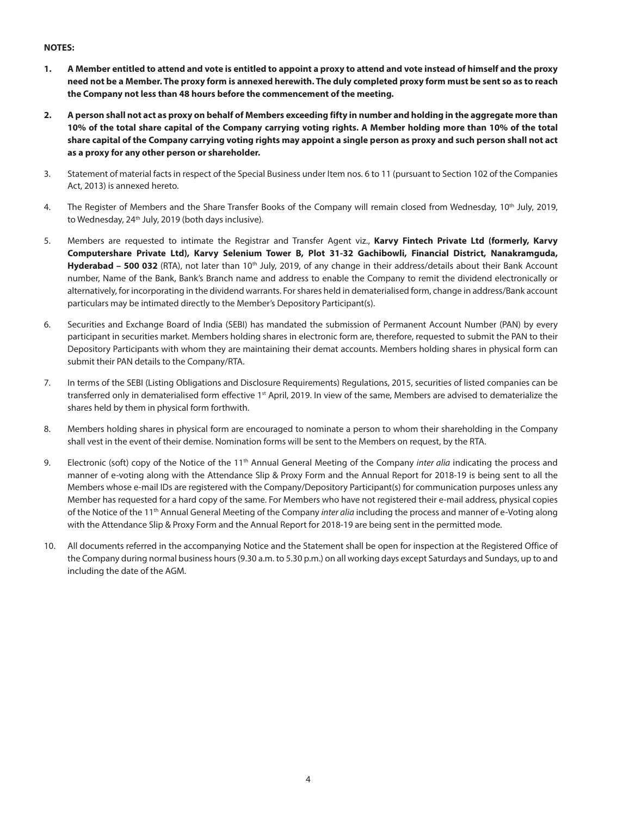#### **NOTES:**

- **1. A Member entitled to attend and vote is entitled to appoint a proxy to attend and vote instead of himself and the proxy need not be a Member. The proxy form is annexed herewith. The duly completed proxy form must be sent so as to reach the Company not less than 48 hours before the commencement of the meeting.**
- **2. A person shall not act as proxy on behalf of Members exceeding fifty in number and holding in the aggregate more than 10% of the total share capital of the Company carrying voting rights. A Member holding more than 10% of the total share capital of the Company carrying voting rights may appoint a single person as proxy and such person shall not act as a proxy for any other person or shareholder.**
- 3.Statement of material facts in respect of the Special Business under Item nos. 6 to 11 (pursuant to Section 102 of the Companies Act, 2013) is annexed hereto.
- 4. The Register of Members and the Share Transfer Books of the Company will remain closed from Wednesday, 10<sup>th</sup> July, 2019, to Wednesday, 24<sup>th</sup> July, 2019 (both days inclusive).
- 5.Members are requested to intimate the Registrar and Transfer Agent viz., **Karvy Fintech Private Ltd (formerly, Karvy Computershare Private Ltd), Karvy Selenium Tower B, Plot 31-32 Gachibowli, Financial District, Nanakramguda,**  Hyderabad – 500 032 (RTA), not later than 10<sup>th</sup> July, 2019, of any change in their address/details about their Bank Account number, Name of the Bank, Bank's Branch name and address to enable the Company to remit the dividend electronically or alternatively, for incorporating in the dividend warrants. For shares held in dematerialised form, change in address/Bank account particulars may be intimated directly to the Member's Depository Participant(s).
- 6. Securities and Exchange Board of India (SEBI) has mandated the submission of Permanent Account Number (PAN) by every participant in securities market. Members holding shares in electronic form are, therefore, requested to submit the PAN to their Depository Participants with whom they are maintaining their demat accounts. Members holding shares in physical form can submit their PAN details to the Company/RTA.
- 7. In terms of the SEBI (Listing Obligations and Disclosure Requirements) Regulations, 2015, securities of listed companies can be transferred only in dematerialised form effective 1st April, 2019. In view of the same, Members are advised to dematerialize the shares held by them in physical form forthwith.
- 8.Members holding shares in physical form are encouraged to nominate a person to whom their shareholding in the Company shall vest in the event of their demise. Nomination forms will be sent to the Members on request, by the RTA.
- 9.Electronic (soft) copy of the Notice of the 11th Annual General Meeting of the Company *inter alia* indicating the process and manner of e-voting along with the Attendance Slip & Proxy Form and the Annual Report for 2018-19 is being sent to all the Members whose e-mail IDs are registered with the Company/Depository Participant(s) for communication purposes unless any Member has requested for a hard copy of the same. For Members who have not registered their e-mail address, physical copies of the Notice of the 11th Annual General Meeting of the Company *inter alia* including the process and manner of e-Voting along with the Attendance Slip & Proxy Form and the Annual Report for 2018-19 are being sent in the permitted mode.
- 10.All documents referred in the accompanying Notice and the Statement shall be open for inspection at the Registered Office of the Company during normal business hours (9.30 a.m. to 5.30 p.m.) on all working days except Saturdays and Sundays, up to and including the date of the AGM.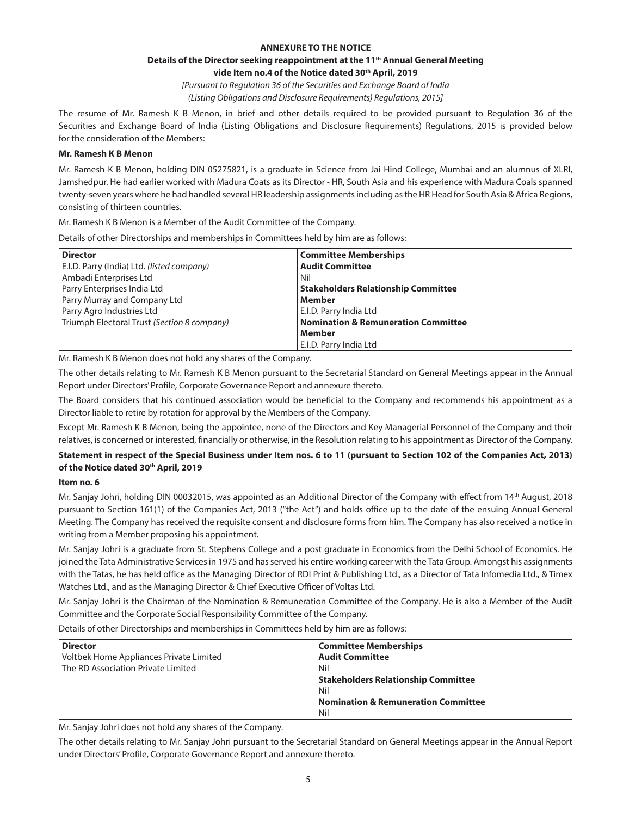#### **ANNEXURE TO THE NOTICE**

#### **Details of the Director seeking reappointment at the 11th Annual General Meeting** vide Item no.4 of the Notice dated 30<sup>th</sup> April, 2019

*[Pursuant to Regulation 36 of the Securities and Exchange Board of India (Listing Obligations and Disclosure Requirements) Regulations, 2015]*

The resume of Mr. Ramesh K B Menon, in brief and other details required to be provided pursuant to Regulation 36 of the Securities and Exchange Board of India (Listing Obligations and Disclosure Requirements) Regulations, 2015 is provided below for the consideration of the Members:

#### **Mr. Ramesh K B Menon**

Mr. Ramesh K B Menon, holding DIN 05275821, is a graduate in Science from Jai Hind College, Mumbai and an alumnus of XLRI, Jamshedpur. He had earlier worked with Madura Coats as its Director - HR, South Asia and his experience with Madura Coals spanned twenty-seven years where he had handled several HR leadership assignments including as the HR Head for South Asia & Africa Regions, consisting of thirteen countries.

Mr. Ramesh K B Menon is a Member of the Audit Committee of the Company.

Details of other Directorships and memberships in Committees held by him are as follows:

| <b>Director</b>                             | <b>Committee Memberships</b>                   |
|---------------------------------------------|------------------------------------------------|
| E.I.D. Parry (India) Ltd. (listed company)  | <b>Audit Committee</b>                         |
| Ambadi Enterprises Ltd                      | Nil                                            |
| Parry Enterprises India Ltd                 | <b>Stakeholders Relationship Committee</b>     |
| Parry Murray and Company Ltd                | Member                                         |
| Parry Agro Industries Ltd                   | E.I.D. Parry India Ltd                         |
| Triumph Electoral Trust (Section 8 company) | <b>Nomination &amp; Remuneration Committee</b> |
|                                             | Member                                         |
|                                             | E.I.D. Parry India Ltd                         |

Mr. Ramesh K B Menon does not hold any shares of the Company.

The other details relating to Mr. Ramesh K B Menon pursuant to the Secretarial Standard on General Meetings appear in the Annual Report under Directors' Profile, Corporate Governance Report and annexure thereto.

The Board considers that his continued association would be beneficial to the Company and recommends his appointment as a Director liable to retire by rotation for approval by the Members of the Company.

Except Mr. Ramesh K B Menon, being the appointee, none of the Directors and Key Managerial Personnel of the Company and their relatives, is concerned or interested, financially or otherwise, in the Resolution relating to his appointment as Director of the Company.

#### **Statement in respect of the Special Business under Item nos. 6 to 11 (pursuant to Section 102 of the Companies Act, 2013) of the Notice dated 30th April, 2019**

#### **Item no. 6**

Mr. Sanjay Johri, holding DIN 00032015, was appointed as an Additional Director of the Company with effect from 14th August, 2018 pursuant to Section 161(1) of the Companies Act, 2013 ("the Act") and holds office up to the date of the ensuing Annual General Meeting. The Company has received the requisite consent and disclosure forms from him. The Company has also received a notice in writing from a Member proposing his appointment.

Mr. Sanjay Johri is a graduate from St. Stephens College and a post graduate in Economics from the Delhi School of Economics. He joined the Tata Administrative Services in 1975 and has served his entire working career with the Tata Group. Amongst his assignments with the Tatas, he has held office as the Managing Director of RDI Print & Publishing Ltd., as a Director of Tata Infomedia Ltd., & Timex Watches Ltd., and as the Managing Director & Chief Executive Officer of Voltas Ltd.

Mr. Sanjay Johri is the Chairman of the Nomination & Remuneration Committee of the Company. He is also a Member of the Audit Committee and the Corporate Social Responsibility Committee of the Company.

Details of other Directorships and memberships in Committees held by him are as follows:

| <b>Director</b>                         | Committee Memberships                          |
|-----------------------------------------|------------------------------------------------|
| Voltbek Home Appliances Private Limited | <b>Audit Committee</b>                         |
| The RD Association Private Limited      | Nil                                            |
|                                         | <b>Stakeholders Relationship Committee</b>     |
|                                         | Nil                                            |
|                                         | <b>Nomination &amp; Remuneration Committee</b> |
|                                         | Nil                                            |

Mr. Sanjay Johri does not hold any shares of the Company.

The other details relating to Mr. Sanjay Johri pursuant to the Secretarial Standard on General Meetings appear in the Annual Report under Directors' Profile, Corporate Governance Report and annexure thereto.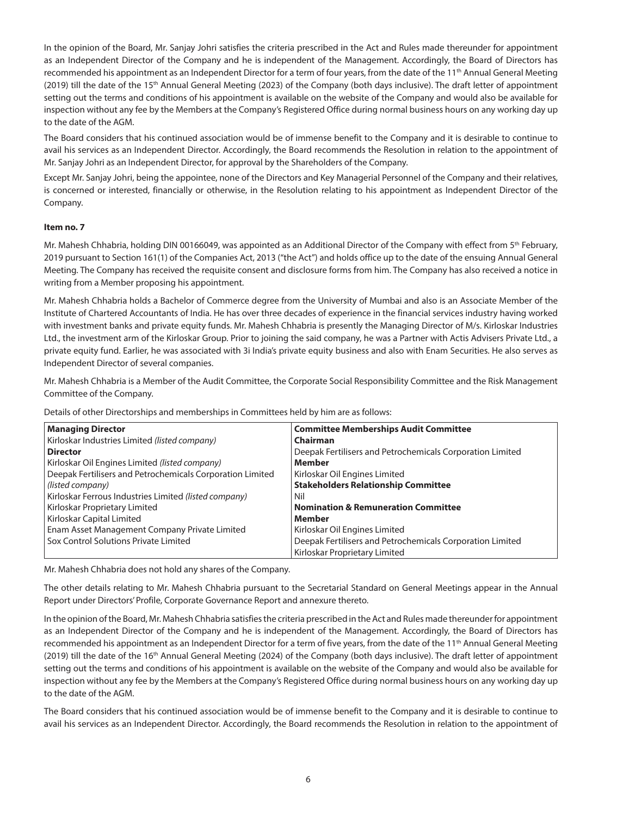In the opinion of the Board, Mr. Sanjay Johri satisfies the criteria prescribed in the Act and Rules made thereunder for appointment as an Independent Director of the Company and he is independent of the Management. Accordingly, the Board of Directors has recommended his appointment as an Independent Director for a term of four years, from the date of the 11<sup>th</sup> Annual General Meeting (2019) till the date of the 15<sup>th</sup> Annual General Meeting (2023) of the Company (both days inclusive). The draft letter of appointment setting out the terms and conditions of his appointment is available on the website of the Company and would also be available for inspection without any fee by the Members at the Company's Registered Office during normal business hours on any working day up to the date of the AGM.

The Board considers that his continued association would be of immense benefit to the Company and it is desirable to continue to avail his services as an Independent Director. Accordingly, the Board recommends the Resolution in relation to the appointment of Mr. Sanjay Johri as an Independent Director, for approval by the Shareholders of the Company.

Except Mr. Sanjay Johri, being the appointee, none of the Directors and Key Managerial Personnel of the Company and their relatives, is concerned or interested, financially or otherwise, in the Resolution relating to his appointment as Independent Director of the Company.

#### **Item no. 7**

Mr. Mahesh Chhabria, holding DIN 00166049, was appointed as an Additional Director of the Company with effect from 5<sup>th</sup> February, 2019 pursuant to Section 161(1) of the Companies Act, 2013 ("the Act") and holds office up to the date of the ensuing Annual General Meeting. The Company has received the requisite consent and disclosure forms from him. The Company has also received a notice in writing from a Member proposing his appointment.

Mr. Mahesh Chhabria holds a Bachelor of Commerce degree from the University of Mumbai and also is an Associate Member of the Institute of Chartered Accountants of India. He has over three decades of experience in the financial services industry having worked with investment banks and private equity funds. Mr. Mahesh Chhabria is presently the Managing Director of M/s. Kirloskar Industries Ltd., the investment arm of the Kirloskar Group. Prior to joining the said company, he was a Partner with Actis Advisers Private Ltd., a private equity fund. Earlier, he was associated with 3i India's private equity business and also with Enam Securities. He also serves as Independent Director of several companies.

Mr. Mahesh Chhabria is a Member of the Audit Committee, the Corporate Social Responsibility Committee and the Risk Management Committee of the Company.

Details of other Directorships and memberships in Committees held by him are as follows:

| <b>Managing Director</b>                                  | <b>Committee Memberships Audit Committee</b>              |
|-----------------------------------------------------------|-----------------------------------------------------------|
| Kirloskar Industries Limited (listed company)             | Chairman                                                  |
| <b>Director</b>                                           | Deepak Fertilisers and Petrochemicals Corporation Limited |
| Kirloskar Oil Engines Limited (listed company)            | <b>Member</b>                                             |
| Deepak Fertilisers and Petrochemicals Corporation Limited | Kirloskar Oil Engines Limited                             |
| (listed company)                                          | <b>Stakeholders Relationship Committee</b>                |
| Kirloskar Ferrous Industries Limited (listed company)     | Nil                                                       |
| Kirloskar Proprietary Limited                             | <b>Nomination &amp; Remuneration Committee</b>            |
| Kirloskar Capital Limited                                 | Member                                                    |
| Enam Asset Management Company Private Limited             | Kirloskar Oil Engines Limited                             |
| Sox Control Solutions Private Limited                     | Deepak Fertilisers and Petrochemicals Corporation Limited |
|                                                           | Kirloskar Proprietary Limited                             |

Mr. Mahesh Chhabria does not hold any shares of the Company.

The other details relating to Mr. Mahesh Chhabria pursuant to the Secretarial Standard on General Meetings appear in the Annual Report under Directors' Profile, Corporate Governance Report and annexure thereto.

In the opinion of the Board, Mr. Mahesh Chhabria satisfies the criteria prescribed in the Act and Rules made thereunder for appointment as an Independent Director of the Company and he is independent of the Management. Accordingly, the Board of Directors has recommended his appointment as an Independent Director for a term of five years, from the date of the 11<sup>th</sup> Annual General Meeting (2019) till the date of the 16<sup>th</sup> Annual General Meeting (2024) of the Company (both days inclusive). The draft letter of appointment setting out the terms and conditions of his appointment is available on the website of the Company and would also be available for inspection without any fee by the Members at the Company's Registered Office during normal business hours on any working day up to the date of the AGM.

The Board considers that his continued association would be of immense benefit to the Company and it is desirable to continue to avail his services as an Independent Director. Accordingly, the Board recommends the Resolution in relation to the appointment of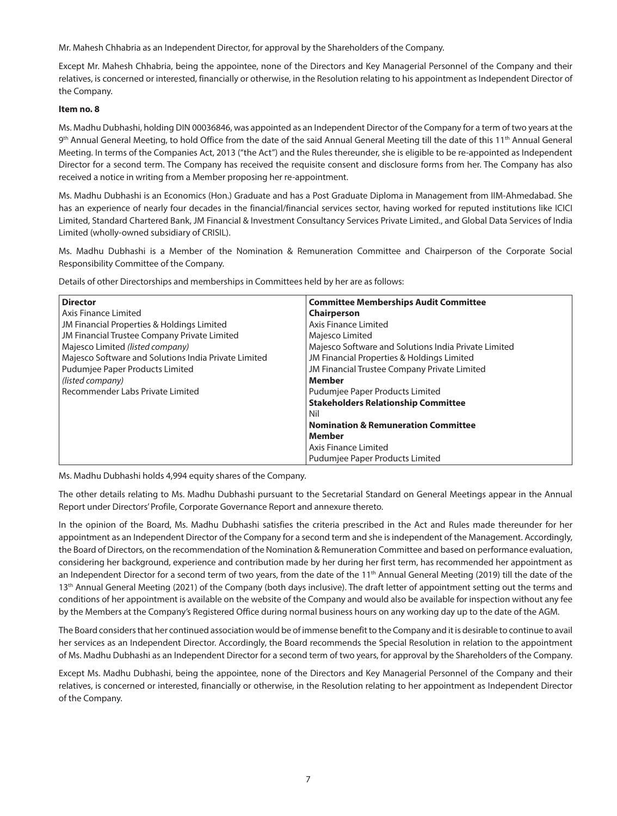Mr. Mahesh Chhabria as an Independent Director, for approval by the Shareholders of the Company.

Except Mr. Mahesh Chhabria, being the appointee, none of the Directors and Key Managerial Personnel of the Company and their relatives, is concerned or interested, financially or otherwise, in the Resolution relating to his appointment as Independent Director of the Company.

#### **Item no. 8**

Ms. Madhu Dubhashi, holding DIN 00036846, was appointed as an Independent Director of the Company for a term of two years at the 9<sup>th</sup> Annual General Meeting, to hold Office from the date of the said Annual General Meeting till the date of this 11<sup>th</sup> Annual General Meeting. In terms of the Companies Act, 2013 ("the Act") and the Rules thereunder, she is eligible to be re-appointed as Independent Director for a second term. The Company has received the requisite consent and disclosure forms from her. The Company has also received a notice in writing from a Member proposing her re-appointment.

Ms. Madhu Dubhashi is an Economics (Hon.) Graduate and has a Post Graduate Diploma in Management from IIM-Ahmedabad. She has an experience of nearly four decades in the financial/financial services sector, having worked for reputed institutions like ICICI Limited, Standard Chartered Bank, JM Financial & Investment Consultancy Services Private Limited., and Global Data Services of India Limited (wholly-owned subsidiary of CRISIL).

Ms. Madhu Dubhashi is a Member of the Nomination & Remuneration Committee and Chairperson of the Corporate Social Responsibility Committee of the Company.

Details of other Directorships and memberships in Committees held by her are as follows:

| <b>Director</b>                                      | <b>Committee Memberships Audit Committee</b>         |
|------------------------------------------------------|------------------------------------------------------|
| Axis Finance Limited                                 | <b>Chairperson</b>                                   |
| JM Financial Properties & Holdings Limited           | Axis Finance Limited                                 |
| JM Financial Trustee Company Private Limited         | Majesco Limited                                      |
| Majesco Limited (listed company)                     | Majesco Software and Solutions India Private Limited |
| Majesco Software and Solutions India Private Limited | JM Financial Properties & Holdings Limited           |
| Pudumjee Paper Products Limited                      | JM Financial Trustee Company Private Limited         |
| (listed company)                                     | <b>Member</b>                                        |
| Recommender Labs Private Limited                     | Pudumjee Paper Products Limited                      |
|                                                      | <b>Stakeholders Relationship Committee</b>           |
|                                                      | Nil                                                  |
|                                                      | <b>Nomination &amp; Remuneration Committee</b>       |
|                                                      | Member                                               |
|                                                      | Axis Finance Limited                                 |
|                                                      | Pudumjee Paper Products Limited                      |

Ms. Madhu Dubhashi holds 4,994 equity shares of the Company.

The other details relating to Ms. Madhu Dubhashi pursuant to the Secretarial Standard on General Meetings appear in the Annual Report under Directors' Profile, Corporate Governance Report and annexure thereto.

In the opinion of the Board, Ms. Madhu Dubhashi satisfies the criteria prescribed in the Act and Rules made thereunder for her appointment as an Independent Director of the Company for a second term and she is independent of the Management. Accordingly, the Board of Directors, on the recommendation of the Nomination & Remuneration Committee and based on performance evaluation, considering her background, experience and contribution made by her during her first term, has recommended her appointment as an Independent Director for a second term of two years, from the date of the 11<sup>th</sup> Annual General Meeting (2019) till the date of the 13<sup>th</sup> Annual General Meeting (2021) of the Company (both days inclusive). The draft letter of appointment setting out the terms and conditions of her appointment is available on the website of the Company and would also be available for inspection without any fee by the Members at the Company's Registered Office during normal business hours on any working day up to the date of the AGM.

The Board considers that her continued association would be of immense benefit to the Company and it is desirable to continue to avail her services as an Independent Director. Accordingly, the Board recommends the Special Resolution in relation to the appointment of Ms. Madhu Dubhashi as an Independent Director for a second term of two years, for approval by the Shareholders of the Company.

Except Ms. Madhu Dubhashi, being the appointee, none of the Directors and Key Managerial Personnel of the Company and their relatives, is concerned or interested, financially or otherwise, in the Resolution relating to her appointment as Independent Director of the Company.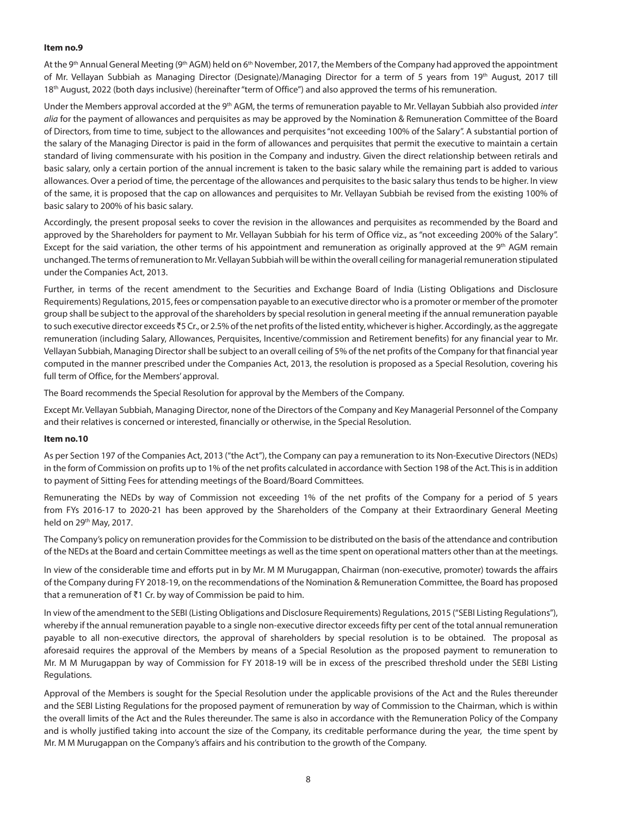#### **Item no.9**

At the 9th Annual General Meeting (9th AGM) held on 6th November, 2017, the Members of the Company had approved the appointment of Mr. Vellayan Subbiah as Managing Director (Designate)/Managing Director for a term of 5 years from 19th August, 2017 till 18th August, 2022 (both days inclusive) (hereinafter "term of Office") and also approved the terms of his remuneration.

Under the Members approval accorded at the 9th AGM, the terms of remuneration payable to Mr. Vellayan Subbiah also provided *inter alia* for the payment of allowances and perquisites as may be approved by the Nomination & Remuneration Committee of the Board of Directors, from time to time, subject to the allowances and perquisites "not exceeding 100% of the Salary". A substantial portion of the salary of the Managing Director is paid in the form of allowances and perquisites that permit the executive to maintain a certain standard of living commensurate with his position in the Company and industry. Given the direct relationship between retirals and basic salary, only a certain portion of the annual increment is taken to the basic salary while the remaining part is added to various allowances. Over a period of time, the percentage of the allowances and perquisites to the basic salary thus tends to be higher. In view of the same, it is proposed that the cap on allowances and perquisites to Mr. Vellayan Subbiah be revised from the existing 100% of basic salary to 200% of his basic salary.

Accordingly, the present proposal seeks to cover the revision in the allowances and perquisites as recommended by the Board and approved by the Shareholders for payment to Mr. Vellayan Subbiah for his term of Office viz., as "not exceeding 200% of the Salary". Except for the said variation, the other terms of his appointment and remuneration as originally approved at the 9<sup>th</sup> AGM remain unchanged. The terms of remuneration to Mr. Vellayan Subbiah will be within the overall ceiling for managerial remuneration stipulated under the Companies Act, 2013.

Further, in terms of the recent amendment to the Securities and Exchange Board of India (Listing Obligations and Disclosure Requirements) Regulations, 2015, fees or compensation payable to an executive director who is a promoter or member of the promoter group shall be subject to the approval of the shareholders by special resolution in general meeting if the annual remuneration payable to such executive director exceeds ₹5 Cr., or 2.5% of the net profits of the listed entity, whichever is higher. Accordingly, as the aggregate remuneration (including Salary, Allowances, Perquisites, Incentive/commission and Retirement benefits) for any financial year to Mr. Vellayan Subbiah, Managing Director shall be subject to an overall ceiling of 5% of the net profits of the Company for that financial year computed in the manner prescribed under the Companies Act, 2013, the resolution is proposed as a Special Resolution, covering his full term of Office, for the Members' approval.

The Board recommends the Special Resolution for approval by the Members of the Company.

Except Mr. Vellayan Subbiah, Managing Director, none of the Directors of the Company and Key Managerial Personnel of the Company and their relatives is concerned or interested, financially or otherwise, in the Special Resolution.

#### **Item no.10**

As per Section 197 of the Companies Act, 2013 ("the Act"), the Company can pay a remuneration to its Non-Executive Directors (NEDs) in the form of Commission on profits up to 1% of the net profits calculated in accordance with Section 198 of the Act. This is in addition to payment of Sitting Fees for attending meetings of the Board/Board Committees.

Remunerating the NEDs by way of Commission not exceeding 1% of the net profits of the Company for a period of 5 years from FYs 2016-17 to 2020-21 has been approved by the Shareholders of the Company at their Extraordinary General Meeting held on 29th May, 2017.

The Company's policy on remuneration provides for the Commission to be distributed on the basis of the attendance and contribution of the NEDs at the Board and certain Committee meetings as well as the time spent on operational matters other than at the meetings.

In view of the considerable time and efforts put in by Mr. M M Murugappan, Chairman (non-executive, promoter) towards the affairs of the Company during FY 2018-19, on the recommendations of the Nomination & Remuneration Committee, the Board has proposed that a remuneration of  $\overline{5}1$  Cr. by way of Commission be paid to him.

In view of the amendment to the SEBI (Listing Obligations and Disclosure Requirements) Regulations, 2015 ("SEBI Listing Regulations"), whereby if the annual remuneration payable to a single non-executive director exceeds fifty per cent of the total annual remuneration payable to all non-executive directors, the approval of shareholders by special resolution is to be obtained. The proposal as aforesaid requires the approval of the Members by means of a Special Resolution as the proposed payment to remuneration to Mr. M M Murugappan by way of Commission for FY 2018-19 will be in excess of the prescribed threshold under the SEBI Listing Regulations.

Approval of the Members is sought for the Special Resolution under the applicable provisions of the Act and the Rules thereunder and the SEBI Listing Regulations for the proposed payment of remuneration by way of Commission to the Chairman, which is within the overall limits of the Act and the Rules thereunder. The same is also in accordance with the Remuneration Policy of the Company and is wholly justified taking into account the size of the Company, its creditable performance during the year, the time spent by Mr. M M Murugappan on the Company's affairs and his contribution to the growth of the Company.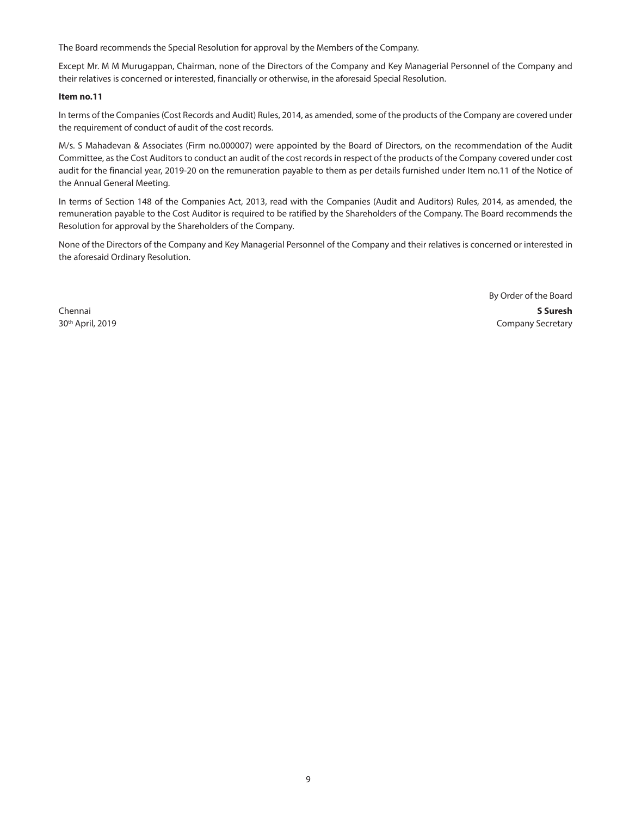The Board recommends the Special Resolution for approval by the Members of the Company.

Except Mr. M M Murugappan, Chairman, none of the Directors of the Company and Key Managerial Personnel of the Company and their relatives is concerned or interested, financially or otherwise, in the aforesaid Special Resolution.

#### **Item no.11**

In terms of the Companies (Cost Records and Audit) Rules, 2014, as amended, some of the products of the Company are covered under the requirement of conduct of audit of the cost records.

M/s. S Mahadevan & Associates (Firm no.000007) were appointed by the Board of Directors, on the recommendation of the Audit Committee, as the Cost Auditors to conduct an audit of the cost records in respect of the products of the Company covered under cost audit for the financial year, 2019-20 on the remuneration payable to them as per details furnished under Item no.11 of the Notice of the Annual General Meeting.

In terms of Section 148 of the Companies Act, 2013, read with the Companies (Audit and Auditors) Rules, 2014, as amended, the remuneration payable to the Cost Auditor is required to be ratified by the Shareholders of the Company. The Board recommends the Resolution for approval by the Shareholders of the Company.

None of the Directors of the Company and Key Managerial Personnel of the Company and their relatives is concerned or interested in the aforesaid Ordinary Resolution.

By Order of the Board Chennai **S Suresh** 30<sup>th</sup> April, 2019 **Company Secretary** Company Secretary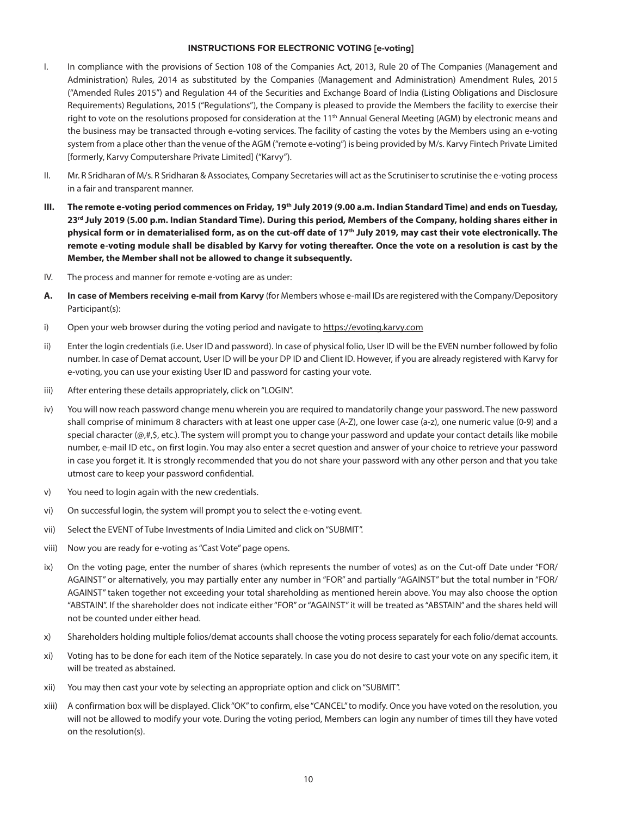#### **INSTRUCTIONS FOR ELECTRONIC VOTING [e-voting]**

- I.In compliance with the provisions of Section 108 of the Companies Act, 2013, Rule 20 of The Companies (Management and Administration) Rules, 2014 as substituted by the Companies (Management and Administration) Amendment Rules, 2015 ("Amended Rules 2015") and Regulation 44 of the Securities and Exchange Board of India (Listing Obligations and Disclosure Requirements) Regulations, 2015 ("Regulations"), the Company is pleased to provide the Members the facility to exercise their right to vote on the resolutions proposed for consideration at the 11<sup>th</sup> Annual General Meeting (AGM) by electronic means and the business may be transacted through e-voting services. The facility of casting the votes by the Members using an e-voting system from a place other than the venue of the AGM ("remote e-voting") is being provided by M/s. Karvy Fintech Private Limited [formerly, Karvy Computershare Private Limited] ("Karvy").
- II.Mr. R Sridharan of M/s. R Sridharan & Associates, Company Secretaries will act as the Scrutiniser to scrutinise the e-voting process in a fair and transparent manner.
- **III. The remote e-voting period commences on Friday, 19th July 2019 (9.00 a.m. Indian Standard Time) and ends on Tuesday, 23rd July 2019 (5.00 p.m. Indian Standard Time). During this period, Members of the Company, holding shares either in**  physical form or in dematerialised form, as on the cut-off date of 17<sup>th</sup> July 2019, may cast their vote electronically. The **remote e-voting module shall be disabled by Karvy for voting thereafter. Once the vote on a resolution is cast by the Member, the Member shall not be allowed to change it subsequently.**
- IV.The process and manner for remote e-voting are as under:
- **A. In case of Members receiving e-mail from Karvy** (for Members whose e-mail IDs are registered with the Company/Depository Participant(s):
- i) Open your web browser during the voting period and navigate to https://evoting.karvy.com
- ii)Enter the login credentials (i.e. User ID and password). In case of physical folio, User ID will be the EVEN number followed by folio number. In case of Demat account, User ID will be your DP ID and Client ID. However, if you are already registered with Karvy for e-voting, you can use your existing User ID and password for casting your vote.
- iii) After entering these details appropriately, click on "LOGIN".
- iv)You will now reach password change menu wherein you are required to mandatorily change your password. The new password shall comprise of minimum 8 characters with at least one upper case (A-Z), one lower case (a-z), one numeric value (0-9) and a special character (@,#,\$, etc.). The system will prompt you to change your password and update your contact details like mobile number, e-mail ID etc., on first login. You may also enter a secret question and answer of your choice to retrieve your password in case you forget it. It is strongly recommended that you do not share your password with any other person and that you take utmost care to keep your password confidential.
- v) You need to login again with the new credentials.
- vi) On successful login, the system will prompt you to select the e-voting event.
- vii) Select the EVENT of Tube Investments of India Limited and click on "SUBMIT".
- viii) Now you are ready for e-voting as "Cast Vote" page opens.
- ix)On the voting page, enter the number of shares (which represents the number of votes) as on the Cut-off Date under "FOR/ AGAINST" or alternatively, you may partially enter any number in "FOR" and partially "AGAINST" but the total number in "FOR/ AGAINST" taken together not exceeding your total shareholding as mentioned herein above. You may also choose the option "ABSTAIN". If the shareholder does not indicate either "FOR" or "AGAINST" it will be treated as "ABSTAIN" and the shares held will not be counted under either head.
- x) Shareholders holding multiple folios/demat accounts shall choose the voting process separately for each folio/demat accounts.
- xi)Voting has to be done for each item of the Notice separately. In case you do not desire to cast your vote on any specific item, it will be treated as abstained.
- xii) You may then cast your vote by selecting an appropriate option and click on "SUBMIT".
- xiii) A confirmation box will be displayed. Click "OK" to confirm, else "CANCEL" to modify. Once you have voted on the resolution, you will not be allowed to modify your vote. During the voting period, Members can login any number of times till they have voted on the resolution(s).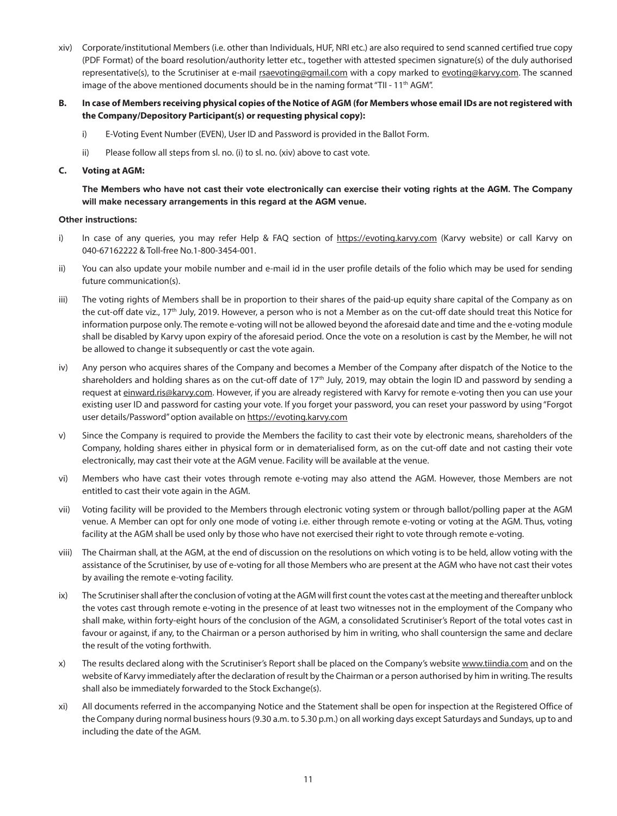- xiv) Corporate/institutional Members (i.e. other than Individuals, HUF, NRI etc.) are also required to send scanned certified true copy (PDF Format) of the board resolution/authority letter etc., together with attested specimen signature(s) of the duly authorised representative(s), to the Scrutiniser at e-mail rsaevoting@gmail.com with a copy marked to evoting@karvy.com. The scanned image of the above mentioned documents should be in the naming format "TII - 11<sup>th</sup> AGM".
- **B. In case of Members receiving physical copies of the Notice of AGM (for Members whose email IDs are not registered with the Company/Depository Participant(s) or requesting physical copy):**
	- i) E-Voting Event Number (EVEN), User ID and Password is provided in the Ballot Form.
	- ii) Please follow all steps from sl. no. (i) to sl. no. (xiv) above to cast vote.

#### **C. Voting at AGM:**

 **The Members who have not cast their vote electronically can exercise their voting rights at the AGM. The Company will make necessary arrangements in this regard at the AGM venue.**

#### **Other instructions:**

- i) In case of any queries, you may refer Help & FAQ section of https://evoting.karvy.com (Karvy website) or call Karvy on 040-67162222 & Toll-free No.1-800-3454-001.
- ii)You can also update your mobile number and e-mail id in the user profile details of the folio which may be used for sending future communication(s).
- iii)The voting rights of Members shall be in proportion to their shares of the paid-up equity share capital of the Company as on the cut-off date viz., 17<sup>th</sup> July, 2019. However, a person who is not a Member as on the cut-off date should treat this Notice for information purpose only. The remote e-voting will not be allowed beyond the aforesaid date and time and the e-voting module shall be disabled by Karvy upon expiry of the aforesaid period. Once the vote on a resolution is cast by the Member, he will not be allowed to change it subsequently or cast the vote again.
- iv) Any person who acquires shares of the Company and becomes a Member of the Company after dispatch of the Notice to the shareholders and holding shares as on the cut-off date of 17<sup>th</sup> July, 2019, may obtain the login ID and password by sending a request at einward.ris@karvy.com. However, if you are already registered with Karvy for remote e-voting then you can use your existing user ID and password for casting your vote. If you forget your password, you can reset your password by using "Forgot user details/Password" option available on https://evoting.karvy.com
- v)Since the Company is required to provide the Members the facility to cast their vote by electronic means, shareholders of the Company, holding shares either in physical form or in dematerialised form, as on the cut-off date and not casting their vote electronically, may cast their vote at the AGM venue. Facility will be available at the venue.
- vi)Members who have cast their votes through remote e-voting may also attend the AGM. However, those Members are not entitled to cast their vote again in the AGM.
- vii)Voting facility will be provided to the Members through electronic voting system or through ballot/polling paper at the AGM venue. A Member can opt for only one mode of voting i.e. either through remote e-voting or voting at the AGM. Thus, voting facility at the AGM shall be used only by those who have not exercised their right to vote through remote e-voting.
- viii)The Chairman shall, at the AGM, at the end of discussion on the resolutions on which voting is to be held, allow voting with the assistance of the Scrutiniser, by use of e-voting for all those Members who are present at the AGM who have not cast their votes by availing the remote e-voting facility.
- ix)The Scrutiniser shall after the conclusion of voting at the AGM will first count the votes cast at the meeting and thereafter unblock the votes cast through remote e-voting in the presence of at least two witnesses not in the employment of the Company who shall make, within forty-eight hours of the conclusion of the AGM, a consolidated Scrutiniser's Report of the total votes cast in favour or against, if any, to the Chairman or a person authorised by him in writing, who shall countersign the same and declare the result of the voting forthwith.
- x) The results declared along with the Scrutiniser's Report shall be placed on the Company's website www.tiindia.com and on the website of Karvy immediately after the declaration of result by the Chairman or a person authorised by him in writing. The results shall also be immediately forwarded to the Stock Exchange(s).
- xi)All documents referred in the accompanying Notice and the Statement shall be open for inspection at the Registered Office of the Company during normal business hours (9.30 a.m. to 5.30 p.m.) on all working days except Saturdays and Sundays, up to and including the date of the AGM.